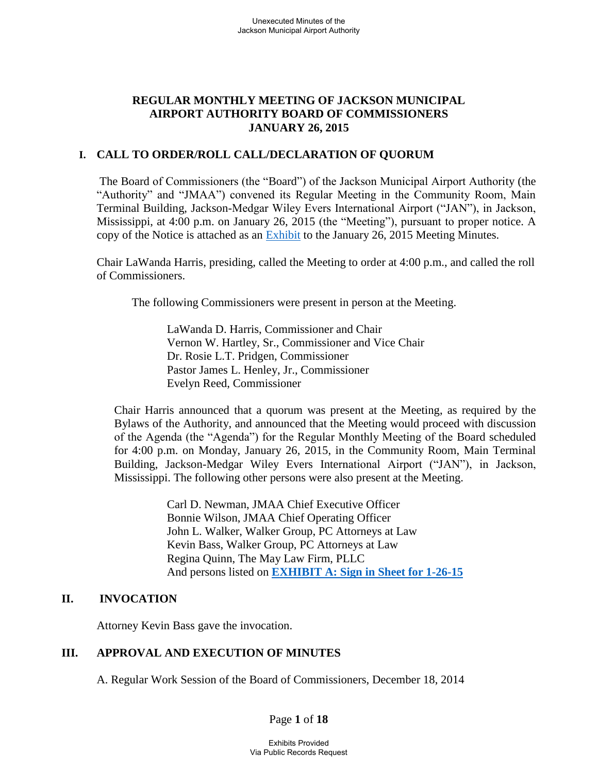# **REGULAR MONTHLY MEETING OF JACKSON MUNICIPAL AIRPORT AUTHORITY BOARD OF COMMISSIONERS JANUARY 26, 2015**

# **I. CALL TO ORDER/ROLL CALL/DECLARATION OF QUORUM**

 The Board of Commissioners (the "Board") of the Jackson Municipal Airport Authority (the "Authority" and "JMAA") convened its Regular Meeting in the Community Room, Main Terminal Building, Jackson-Medgar Wiley Evers International Airport ("JAN"), in Jackson, Mississippi, at 4:00 p.m. on January 26, 2015 (the "Meeting"), pursuant to proper notice. A copy of the Notice is attached as an [Exhibit](file://walker2008-1/netshare/Work/JMAA4324/BOARD%20MEETINGS/2015-01%20Board%20Meeting/JMAA%20Notice%20of%20New%20Meeting%20Location%20-%20January%2026,%202015%20-%20JLW%20.pdf) to the January 26, 2015 Meeting Minutes.

Chair LaWanda Harris, presiding, called the Meeting to order at 4:00 p.m., and called the roll of Commissioners.

The following Commissioners were present in person at the Meeting.

LaWanda D. Harris, Commissioner and Chair Vernon W. Hartley, Sr., Commissioner and Vice Chair Dr. Rosie L.T. Pridgen, Commissioner Pastor James L. Henley, Jr., Commissioner Evelyn Reed, Commissioner

Chair Harris announced that a quorum was present at the Meeting, as required by the Bylaws of the Authority, and announced that the Meeting would proceed with discussion of the Agenda (the "Agenda") for the Regular Monthly Meeting of the Board scheduled for 4:00 p.m. on Monday, January 26, 2015, in the Community Room, Main Terminal Building, Jackson-Medgar Wiley Evers International Airport ("JAN"), in Jackson, Mississippi. The following other persons were also present at the Meeting.

> Carl D. Newman, JMAA Chief Executive Officer Bonnie Wilson, JMAA Chief Operating Officer John L. Walker, Walker Group, PC Attorneys at Law Kevin Bass, Walker Group, PC Attorneys at Law Regina Quinn, The May Law Firm, PLLC And persons listed on **[EXHIBIT A: Sign in Sheet for 1-26-15](file://walker2008-1/netshare/Work/JMAA4324/BOARD%20MEETINGS/2015-01%20Board%20Meeting/Sign-In%20Sheet%20for%20January%2026%202015.pdf)**

# **II. INVOCATION**

Attorney Kevin Bass gave the invocation.

# **III. APPROVAL AND EXECUTION OF MINUTES**

A. Regular Work Session of the Board of Commissioners, December 18, 2014

Page **1** of **18**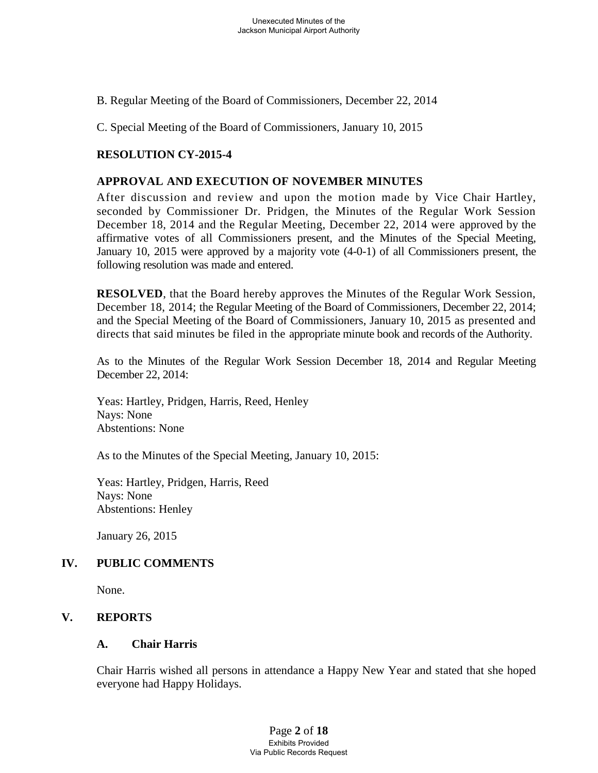B. Regular Meeting of the Board of Commissioners, December 22, 2014

C. Special Meeting of the Board of Commissioners, January 10, 2015

# **RESOLUTION CY-2015-4**

### **APPROVAL AND EXECUTION OF NOVEMBER MINUTES**

After discussion and review and upon the motion made by Vice Chair Hartley, seconded by Commissioner Dr. Pridgen, the Minutes of the Regular Work Session December 18, 2014 and the Regular Meeting, December 22, 2014 were approved by the affirmative votes of all Commissioners present, and the Minutes of the Special Meeting, January 10, 2015 were approved by a majority vote (4-0-1) of all Commissioners present, the following resolution was made and entered.

**RESOLVED**, that the Board hereby approves the Minutes of the Regular Work Session, December 18, 2014; the Regular Meeting of the Board of Commissioners, December 22, 2014; and the Special Meeting of the Board of Commissioners, January 10, 2015 as presented and directs that said minutes be filed in the appropriate minute book and records of the Authority.

As to the Minutes of the Regular Work Session December 18, 2014 and Regular Meeting December 22, 2014:

Yeas: Hartley, Pridgen, Harris, Reed, Henley Nays: None Abstentions: None

As to the Minutes of the Special Meeting, January 10, 2015:

Yeas: Hartley, Pridgen, Harris, Reed Nays: None Abstentions: Henley

January 26, 2015

# **IV. PUBLIC COMMENTS**

None.

# **V. REPORTS**

# **A. Chair Harris**

Chair Harris wished all persons in attendance a Happy New Year and stated that she hoped everyone had Happy Holidays.

> Page **2** of **18** Exhibits Provided Via Public Records Request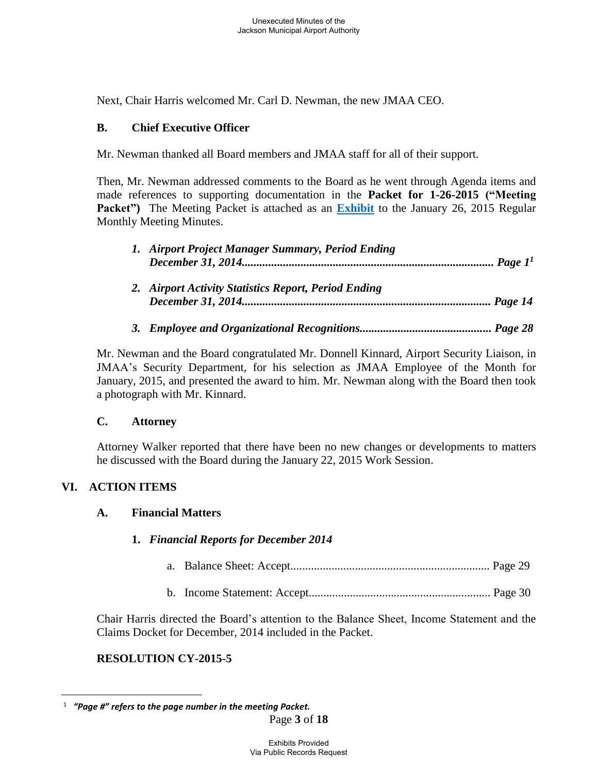Next, Chair Harris welcomed Mr. Carl D. Newman, the new JMAA CEO.

# **B. Chief Executive Officer**

Mr. Newman thanked all Board members and JMAA staff for all of their support.

Then, Mr. Newman addressed comments to the Board as he went through Agenda items and made references to supporting documentation in the **Packet for 1-26-2015 ("Meeting**  Packet") The Meeting Packet is attached as an **[Exhibit](file://walker2008-1/netshare/Work/JMAA4324/BOARD%20MEETINGS/2015-01%20Board%20Meeting/Packet.pdf)** to the January 26, 2015 Regular Monthly Meeting Minutes.

| 1. Airport Project Manager Summary, Period Ending    |
|------------------------------------------------------|
| 2. Airport Activity Statistics Report, Period Ending |
|                                                      |

Mr. Newman and the Board congratulated Mr. Donnell Kinnard, Airport Security Liaison, in JMAA's Security Department, for his selection as JMAA Employee of the Month for January, 2015, and presented the award to him. Mr. Newman along with the Board then took a photograph with Mr. Kinnard.

# **C. Attorney**

Attorney Walker reported that there have been no new changes or developments to matters he discussed with the Board during the January 22, 2015 Work Session.

# **VI. ACTION ITEMS**

 $\overline{a}$ 

# **A. Financial Matters**

# **1.** *Financial Reports for December 2014*

- a. Balance Sheet: Accept.................................................................... Page 29
- b. Income Statement: Accept.............................................................. Page 30

Chair Harris directed the Board's attention to the Balance Sheet, Income Statement and the Claims Docket for December, 2014 included in the Packet.

# **RESOLUTION CY-2015-5**

<sup>1</sup>  *"Page #" refers to the page number in the meeting Packet.*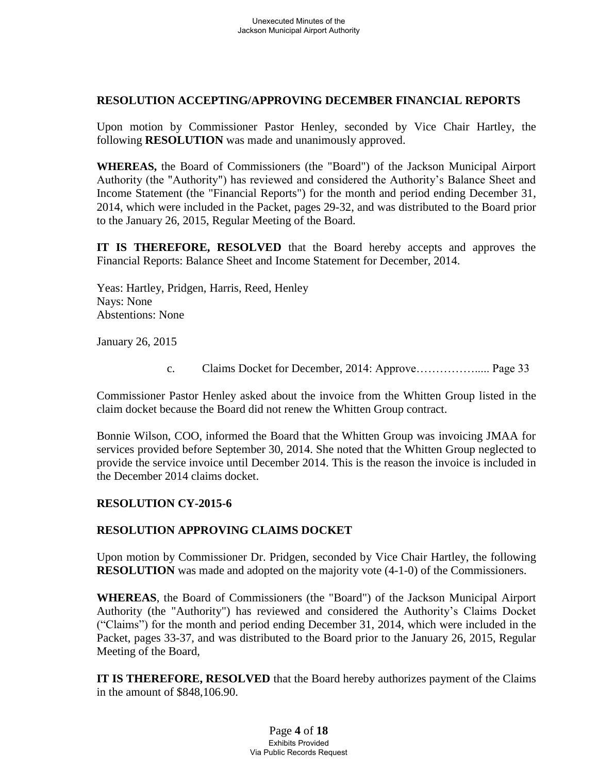# **RESOLUTION ACCEPTING/APPROVING DECEMBER FINANCIAL REPORTS**

Upon motion by Commissioner Pastor Henley, seconded by Vice Chair Hartley, the following **RESOLUTION** was made and unanimously approved.

**WHEREAS,** the Board of Commissioners (the "Board") of the Jackson Municipal Airport Authority (the "Authority") has reviewed and considered the Authority's Balance Sheet and Income Statement (the "Financial Reports") for the month and period ending December 31, 2014, which were included in the Packet, pages 29-32, and was distributed to the Board prior to the January 26, 2015, Regular Meeting of the Board.

**IT IS THEREFORE, RESOLVED** that the Board hereby accepts and approves the Financial Reports: Balance Sheet and Income Statement for December, 2014.

Yeas: Hartley, Pridgen, Harris, Reed, Henley Nays: None Abstentions: None

January 26, 2015

c. Claims Docket for December, 2014: Approve……………..... Page 33

Commissioner Pastor Henley asked about the invoice from the Whitten Group listed in the claim docket because the Board did not renew the Whitten Group contract.

Bonnie Wilson, COO, informed the Board that the Whitten Group was invoicing JMAA for services provided before September 30, 2014. She noted that the Whitten Group neglected to provide the service invoice until December 2014. This is the reason the invoice is included in the December 2014 claims docket.

### **RESOLUTION CY-2015-6**

# **RESOLUTION APPROVING CLAIMS DOCKET**

Upon motion by Commissioner Dr. Pridgen, seconded by Vice Chair Hartley, the following **RESOLUTION** was made and adopted on the majority vote (4-1-0) of the Commissioners.

**WHEREAS**, the Board of Commissioners (the "Board") of the Jackson Municipal Airport Authority (the "Authority") has reviewed and considered the Authority's Claims Docket ("Claims") for the month and period ending December 31, 2014, which were included in the Packet, pages 33-37, and was distributed to the Board prior to the January 26, 2015, Regular Meeting of the Board,

**IT IS THEREFORE, RESOLVED** that the Board hereby authorizes payment of the Claims in the amount of \$848,106.90.

> Page **4** of **18** Exhibits Provided Via Public Records Request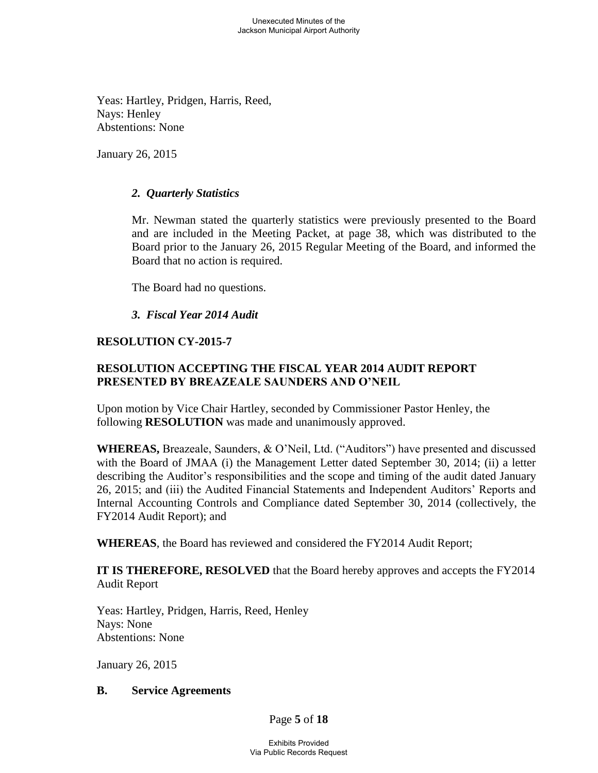Yeas: Hartley, Pridgen, Harris, Reed, Nays: Henley Abstentions: None

January 26, 2015

# *2. Quarterly Statistics*

Mr. Newman stated the quarterly statistics were previously presented to the Board and are included in the Meeting Packet, at page 38, which was distributed to the Board prior to the January 26, 2015 Regular Meeting of the Board, and informed the Board that no action is required.

The Board had no questions.

# *3. Fiscal Year 2014 Audit*

# **RESOLUTION CY-2015-7**

# **RESOLUTION ACCEPTING THE FISCAL YEAR 2014 AUDIT REPORT PRESENTED BY BREAZEALE SAUNDERS AND O'NEIL**

Upon motion by Vice Chair Hartley, seconded by Commissioner Pastor Henley, the following **RESOLUTION** was made and unanimously approved.

**WHEREAS,** Breazeale, Saunders, & O'Neil, Ltd. ("Auditors") have presented and discussed with the Board of JMAA (i) the Management Letter dated September 30, 2014; (ii) a letter describing the Auditor's responsibilities and the scope and timing of the audit dated January 26, 2015; and (iii) the Audited Financial Statements and Independent Auditors' Reports and Internal Accounting Controls and Compliance dated September 30, 2014 (collectively, the FY2014 Audit Report); and

**WHEREAS**, the Board has reviewed and considered the FY2014 Audit Report;

**IT IS THEREFORE, RESOLVED** that the Board hereby approves and accepts the FY2014 Audit Report

Yeas: Hartley, Pridgen, Harris, Reed, Henley Nays: None Abstentions: None

January 26, 2015

### **B. Service Agreements**

Page **5** of **18**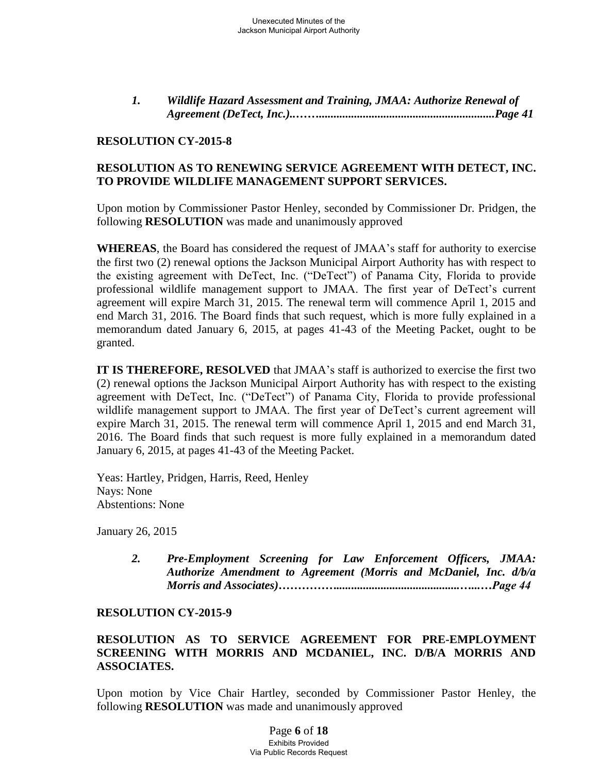*1. Wildlife Hazard Assessment and Training, JMAA: Authorize Renewal of Agreement (DeTect, Inc.)..……............................................................Page 41* 

# **RESOLUTION CY-2015-8**

# **RESOLUTION AS TO RENEWING SERVICE AGREEMENT WITH DETECT, INC. TO PROVIDE WILDLIFE MANAGEMENT SUPPORT SERVICES.**

Upon motion by Commissioner Pastor Henley, seconded by Commissioner Dr. Pridgen, the following **RESOLUTION** was made and unanimously approved

**WHEREAS**, the Board has considered the request of JMAA's staff for authority to exercise the first two (2) renewal options the Jackson Municipal Airport Authority has with respect to the existing agreement with DeTect, Inc. ("DeTect") of Panama City, Florida to provide professional wildlife management support to JMAA. The first year of DeTect's current agreement will expire March 31, 2015. The renewal term will commence April 1, 2015 and end March 31, 2016. The Board finds that such request, which is more fully explained in a memorandum dated January 6, 2015, at pages 41-43 of the Meeting Packet, ought to be granted.

**IT IS THEREFORE, RESOLVED** that JMAA's staff is authorized to exercise the first two (2) renewal options the Jackson Municipal Airport Authority has with respect to the existing agreement with DeTect, Inc. ("DeTect") of Panama City, Florida to provide professional wildlife management support to JMAA. The first year of DeTect's current agreement will expire March 31, 2015. The renewal term will commence April 1, 2015 and end March 31, 2016. The Board finds that such request is more fully explained in a memorandum dated January 6, 2015, at pages 41-43 of the Meeting Packet.

 Yeas: Hartley, Pridgen, Harris, Reed, Henley Nays: None Abstentions: None

January 26, 2015

 *2. Pre-Employment Screening for Law Enforcement Officers, JMAA: Authorize Amendment to Agreement (Morris and McDaniel, Inc. d/b/a Morris and Associates)……………..........................................…...…Page 44*

### **RESOLUTION CY-2015-9**

# **RESOLUTION AS TO SERVICE AGREEMENT FOR PRE-EMPLOYMENT SCREENING WITH MORRIS AND MCDANIEL, INC. D/B/A MORRIS AND ASSOCIATES.**

Upon motion by Vice Chair Hartley, seconded by Commissioner Pastor Henley, the following **RESOLUTION** was made and unanimously approved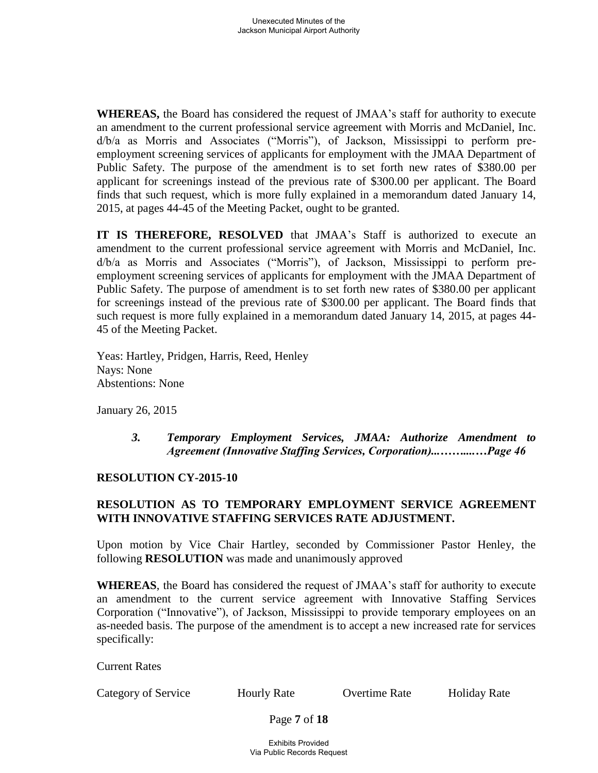**WHEREAS,** the Board has considered the request of JMAA's staff for authority to execute an amendment to the current professional service agreement with Morris and McDaniel, Inc. d/b/a as Morris and Associates ("Morris"), of Jackson, Mississippi to perform preemployment screening services of applicants for employment with the JMAA Department of Public Safety. The purpose of the amendment is to set forth new rates of \$380.00 per applicant for screenings instead of the previous rate of \$300.00 per applicant. The Board finds that such request, which is more fully explained in a memorandum dated January 14, 2015, at pages 44-45 of the Meeting Packet, ought to be granted.

**IT IS THEREFORE, RESOLVED** that JMAA's Staff is authorized to execute an amendment to the current professional service agreement with Morris and McDaniel, Inc. d/b/a as Morris and Associates ("Morris"), of Jackson, Mississippi to perform preemployment screening services of applicants for employment with the JMAA Department of Public Safety. The purpose of amendment is to set forth new rates of \$380.00 per applicant for screenings instead of the previous rate of \$300.00 per applicant. The Board finds that such request is more fully explained in a memorandum dated January 14, 2015, at pages 44- 45 of the Meeting Packet.

Yeas: Hartley, Pridgen, Harris, Reed, Henley Nays: None Abstentions: None

January 26, 2015

*3. Temporary Employment Services, JMAA: Authorize Amendment to Agreement (Innovative Staffing Services, Corporation)...……....…Page 46*

# **RESOLUTION CY-2015-10**

# **RESOLUTION AS TO TEMPORARY EMPLOYMENT SERVICE AGREEMENT WITH INNOVATIVE STAFFING SERVICES RATE ADJUSTMENT.**

Upon motion by Vice Chair Hartley, seconded by Commissioner Pastor Henley, the following **RESOLUTION** was made and unanimously approved

**WHEREAS**, the Board has considered the request of JMAA's staff for authority to execute an amendment to the current service agreement with Innovative Staffing Services Corporation ("Innovative"), of Jackson, Mississippi to provide temporary employees on an as-needed basis. The purpose of the amendment is to accept a new increased rate for services specifically:

Current Rates

Category of Service Hourly Rate Overtime Rate Holiday Rate

Page **7** of **18**

Exhibits Provided Via Public Records Request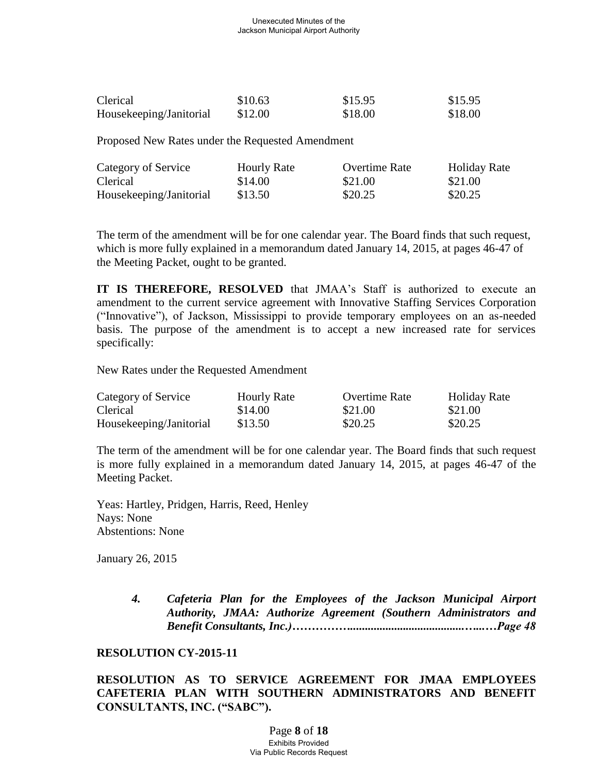#### Unexecuted Minutes of the Jackson Municipal Airport Authority

| Clerical                | \$10.63 | \$15.95 | \$15.95 |
|-------------------------|---------|---------|---------|
| Housekeeping/Janitorial | \$12.00 | \$18.00 | \$18.00 |

Proposed New Rates under the Requested Amendment

| Category of Service     | <b>Hourly Rate</b> | <b>Overtime Rate</b> | <b>Holiday Rate</b> |
|-------------------------|--------------------|----------------------|---------------------|
| Clerical                | \$14.00            | \$21.00              | \$21.00             |
| Housekeeping/Janitorial | \$13.50            | \$20.25              | \$20.25             |

The term of the amendment will be for one calendar year. The Board finds that such request, which is more fully explained in a memorandum dated January 14, 2015, at pages 46-47 of the Meeting Packet, ought to be granted.

**IT IS THEREFORE, RESOLVED** that JMAA's Staff is authorized to execute an amendment to the current service agreement with Innovative Staffing Services Corporation ("Innovative"), of Jackson, Mississippi to provide temporary employees on an as-needed basis. The purpose of the amendment is to accept a new increased rate for services specifically:

New Rates under the Requested Amendment

| Category of Service     | <b>Hourly Rate</b> | Overtime Rate | <b>Holiday Rate</b> |
|-------------------------|--------------------|---------------|---------------------|
| Clerical                | \$14.00            | \$21.00       | \$21.00             |
| Housekeeping/Janitorial | \$13.50            | \$20.25       | \$20.25             |

The term of the amendment will be for one calendar year. The Board finds that such request is more fully explained in a memorandum dated January 14, 2015, at pages 46-47 of the Meeting Packet.

Yeas: Hartley, Pridgen, Harris, Reed, Henley Nays: None Abstentions: None

January 26, 2015

*4. Cafeteria Plan for the Employees of the Jackson Municipal Airport Authority, JMAA: Authorize Agreement (Southern Administrators and Benefit Consultants, Inc.)…………….......................................…...…Page 48*

### **RESOLUTION CY-2015-11**

**RESOLUTION AS TO SERVICE AGREEMENT FOR JMAA EMPLOYEES CAFETERIA PLAN WITH SOUTHERN ADMINISTRATORS AND BENEFIT CONSULTANTS, INC. ("SABC").**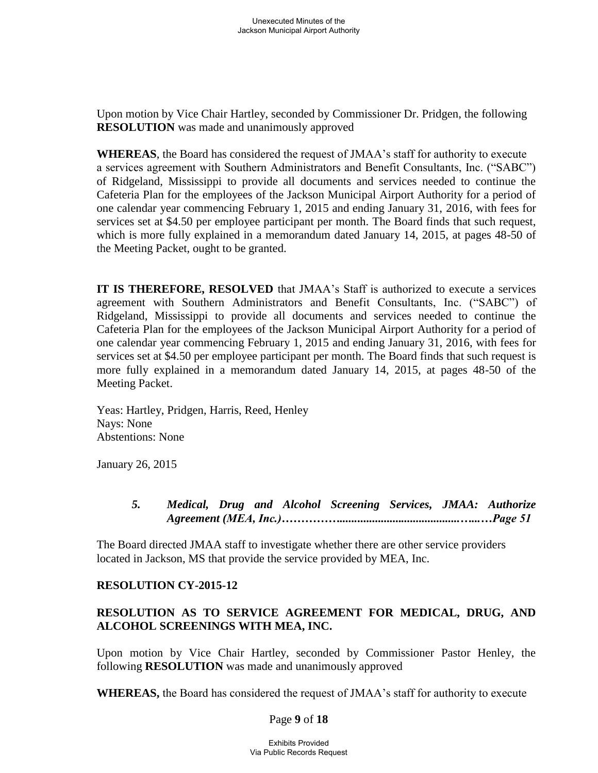Upon motion by Vice Chair Hartley, seconded by Commissioner Dr. Pridgen, the following **RESOLUTION** was made and unanimously approved

**WHEREAS**, the Board has considered the request of JMAA's staff for authority to execute a services agreement with Southern Administrators and Benefit Consultants, Inc. ("SABC") of Ridgeland, Mississippi to provide all documents and services needed to continue the Cafeteria Plan for the employees of the Jackson Municipal Airport Authority for a period of one calendar year commencing February 1, 2015 and ending January 31, 2016, with fees for services set at \$4.50 per employee participant per month. The Board finds that such request, which is more fully explained in a memorandum dated January 14, 2015, at pages 48-50 of the Meeting Packet, ought to be granted.

**IT IS THEREFORE, RESOLVED** that JMAA's Staff is authorized to execute a services agreement with Southern Administrators and Benefit Consultants, Inc. ("SABC") of Ridgeland, Mississippi to provide all documents and services needed to continue the Cafeteria Plan for the employees of the Jackson Municipal Airport Authority for a period of one calendar year commencing February 1, 2015 and ending January 31, 2016, with fees for services set at \$4.50 per employee participant per month. The Board finds that such request is more fully explained in a memorandum dated January 14, 2015, at pages 48-50 of the Meeting Packet.

Yeas: Hartley, Pridgen, Harris, Reed, Henley Nays: None Abstentions: None

January 26, 2015

# *5. Medical, Drug and Alcohol Screening Services, JMAA: Authorize Agreement (MEA, Inc.)…………….........................................…...…Page 51*

 The Board directed JMAA staff to investigate whether there are other service providers located in Jackson, MS that provide the service provided by MEA, Inc.

# **RESOLUTION CY-2015-12**

# **RESOLUTION AS TO SERVICE AGREEMENT FOR MEDICAL, DRUG, AND ALCOHOL SCREENINGS WITH MEA, INC.**

Upon motion by Vice Chair Hartley, seconded by Commissioner Pastor Henley, the following **RESOLUTION** was made and unanimously approved

**WHEREAS,** the Board has considered the request of JMAA's staff for authority to execute

### Page **9** of **18**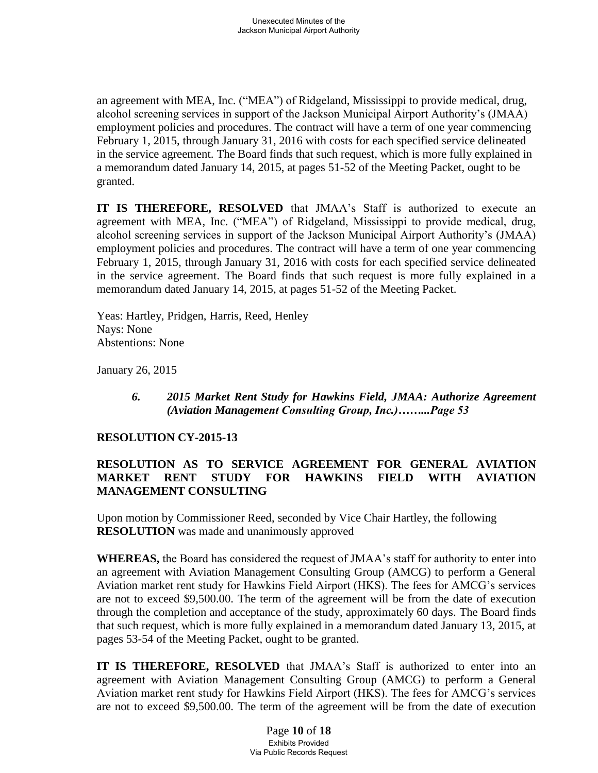an agreement with MEA, Inc. ("MEA") of Ridgeland, Mississippi to provide medical, drug, alcohol screening services in support of the Jackson Municipal Airport Authority's (JMAA) employment policies and procedures. The contract will have a term of one year commencing February 1, 2015, through January 31, 2016 with costs for each specified service delineated in the service agreement. The Board finds that such request, which is more fully explained in a memorandum dated January 14, 2015, at pages 51-52 of the Meeting Packet, ought to be granted.

**IT IS THEREFORE, RESOLVED** that JMAA's Staff is authorized to execute an agreement with MEA, Inc. ("MEA") of Ridgeland, Mississippi to provide medical, drug, alcohol screening services in support of the Jackson Municipal Airport Authority's (JMAA) employment policies and procedures. The contract will have a term of one year commencing February 1, 2015, through January 31, 2016 with costs for each specified service delineated in the service agreement. The Board finds that such request is more fully explained in a memorandum dated January 14, 2015, at pages 51-52 of the Meeting Packet.

Yeas: Hartley, Pridgen, Harris, Reed, Henley Nays: None Abstentions: None

January 26, 2015

*6. 2015 Market Rent Study for Hawkins Field, JMAA: Authorize Agreement (Aviation Management Consulting Group, Inc.)……...Page 53*

### **RESOLUTION CY-2015-13**

# **RESOLUTION AS TO SERVICE AGREEMENT FOR GENERAL AVIATION MARKET RENT STUDY FOR HAWKINS FIELD WITH AVIATION MANAGEMENT CONSULTING**

Upon motion by Commissioner Reed, seconded by Vice Chair Hartley, the following **RESOLUTION** was made and unanimously approved

**WHEREAS,** the Board has considered the request of JMAA's staff for authority to enter into an agreement with Aviation Management Consulting Group (AMCG) to perform a General Aviation market rent study for Hawkins Field Airport (HKS). The fees for AMCG's services are not to exceed \$9,500.00. The term of the agreement will be from the date of execution through the completion and acceptance of the study, approximately 60 days. The Board finds that such request, which is more fully explained in a memorandum dated January 13, 2015, at pages 53-54 of the Meeting Packet, ought to be granted.

**IT IS THEREFORE, RESOLVED** that JMAA's Staff is authorized to enter into an agreement with Aviation Management Consulting Group (AMCG) to perform a General Aviation market rent study for Hawkins Field Airport (HKS). The fees for AMCG's services are not to exceed \$9,500.00. The term of the agreement will be from the date of execution

> Page **10** of **18** Exhibits Provided Via Public Records Request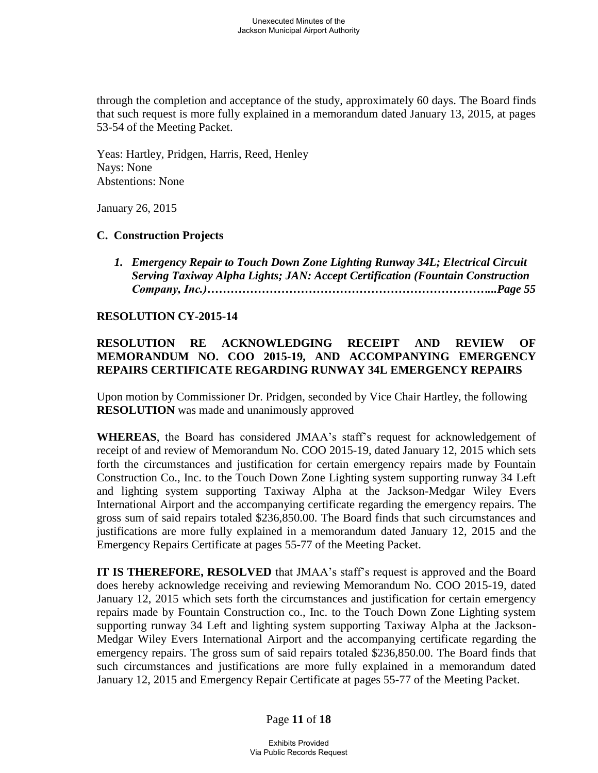through the completion and acceptance of the study, approximately 60 days. The Board finds that such request is more fully explained in a memorandum dated January 13, 2015, at pages 53-54 of the Meeting Packet.

Yeas: Hartley, Pridgen, Harris, Reed, Henley Nays: None Abstentions: None

January 26, 2015

# **C. Construction Projects**

 *1. Emergency Repair to Touch Down Zone Lighting Runway 34L; Electrical Circuit Serving Taxiway Alpha Lights; JAN: Accept Certification (Fountain Construction Company, Inc.)………………………………………………………………...Page 55* 

# **RESOLUTION CY-2015-14**

# **RESOLUTION RE ACKNOWLEDGING RECEIPT AND REVIEW OF MEMORANDUM NO. COO 2015-19, AND ACCOMPANYING EMERGENCY REPAIRS CERTIFICATE REGARDING RUNWAY 34L EMERGENCY REPAIRS**

Upon motion by Commissioner Dr. Pridgen, seconded by Vice Chair Hartley, the following **RESOLUTION** was made and unanimously approved

**WHEREAS**, the Board has considered JMAA's staff's request for acknowledgement of receipt of and review of Memorandum No. COO 2015-19, dated January 12, 2015 which sets forth the circumstances and justification for certain emergency repairs made by Fountain Construction Co., Inc. to the Touch Down Zone Lighting system supporting runway 34 Left and lighting system supporting Taxiway Alpha at the Jackson-Medgar Wiley Evers International Airport and the accompanying certificate regarding the emergency repairs. The gross sum of said repairs totaled \$236,850.00. The Board finds that such circumstances and justifications are more fully explained in a memorandum dated January 12, 2015 and the Emergency Repairs Certificate at pages 55-77 of the Meeting Packet.

**IT IS THEREFORE, RESOLVED** that JMAA's staff's request is approved and the Board does hereby acknowledge receiving and reviewing Memorandum No. COO 2015-19, dated January 12, 2015 which sets forth the circumstances and justification for certain emergency repairs made by Fountain Construction co., Inc. to the Touch Down Zone Lighting system supporting runway 34 Left and lighting system supporting Taxiway Alpha at the Jackson-Medgar Wiley Evers International Airport and the accompanying certificate regarding the emergency repairs. The gross sum of said repairs totaled \$236,850.00. The Board finds that such circumstances and justifications are more fully explained in a memorandum dated January 12, 2015 and Emergency Repair Certificate at pages 55-77 of the Meeting Packet.

Page **11** of **18**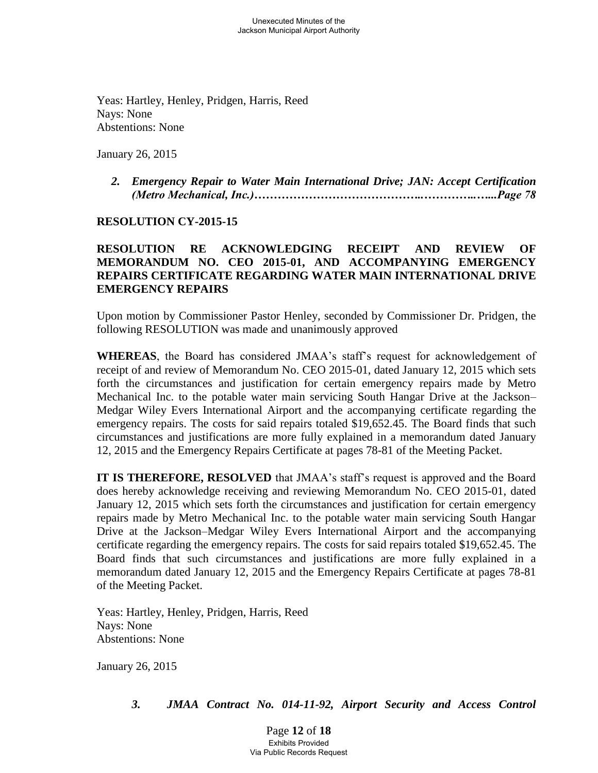Yeas: Hartley, Henley, Pridgen, Harris, Reed Nays: None Abstentions: None

January 26, 2015

 *2. Emergency Repair to Water Main International Drive; JAN: Accept Certification (Metro Mechanical, Inc.)……………………………………..…………..…...Page 78*

### **RESOLUTION CY-2015-15**

# **RESOLUTION RE ACKNOWLEDGING RECEIPT AND REVIEW OF MEMORANDUM NO. CEO 2015-01, AND ACCOMPANYING EMERGENCY REPAIRS CERTIFICATE REGARDING WATER MAIN INTERNATIONAL DRIVE EMERGENCY REPAIRS**

Upon motion by Commissioner Pastor Henley, seconded by Commissioner Dr. Pridgen, the following RESOLUTION was made and unanimously approved

**WHEREAS**, the Board has considered JMAA's staff's request for acknowledgement of receipt of and review of Memorandum No. CEO 2015-01, dated January 12, 2015 which sets forth the circumstances and justification for certain emergency repairs made by Metro Mechanical Inc. to the potable water main servicing South Hangar Drive at the Jackson– Medgar Wiley Evers International Airport and the accompanying certificate regarding the emergency repairs. The costs for said repairs totaled \$19,652.45. The Board finds that such circumstances and justifications are more fully explained in a memorandum dated January 12, 2015 and the Emergency Repairs Certificate at pages 78-81 of the Meeting Packet.

**IT IS THEREFORE, RESOLVED** that JMAA's staff's request is approved and the Board does hereby acknowledge receiving and reviewing Memorandum No. CEO 2015-01, dated January 12, 2015 which sets forth the circumstances and justification for certain emergency repairs made by Metro Mechanical Inc. to the potable water main servicing South Hangar Drive at the Jackson–Medgar Wiley Evers International Airport and the accompanying certificate regarding the emergency repairs. The costs for said repairs totaled \$19,652.45. The Board finds that such circumstances and justifications are more fully explained in a memorandum dated January 12, 2015 and the Emergency Repairs Certificate at pages 78-81 of the Meeting Packet.

Yeas: Hartley, Henley, Pridgen, Harris, Reed Nays: None Abstentions: None

January 26, 2015

*3. JMAA Contract No. 014-11-92, Airport Security and Access Control* 

Page **12** of **18** Exhibits Provided Via Public Records Request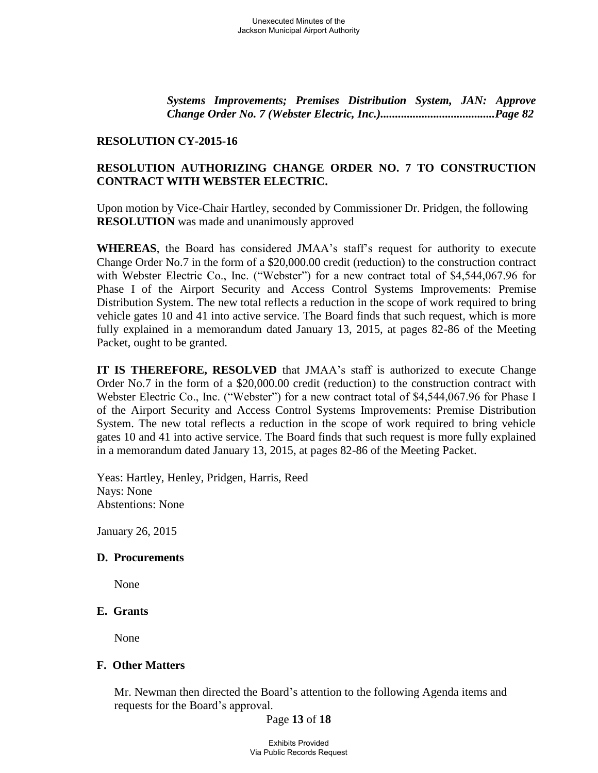*Systems Improvements; Premises Distribution System, JAN: Approve Change Order No. 7 (Webster Electric, Inc.).......................................Page 82* 

#### **RESOLUTION CY-2015-16**

# **RESOLUTION AUTHORIZING CHANGE ORDER NO. 7 TO CONSTRUCTION CONTRACT WITH WEBSTER ELECTRIC.**

Upon motion by Vice-Chair Hartley, seconded by Commissioner Dr. Pridgen, the following **RESOLUTION** was made and unanimously approved

**WHEREAS**, the Board has considered JMAA's staff's request for authority to execute Change Order No.7 in the form of a \$20,000.00 credit (reduction) to the construction contract with Webster Electric Co., Inc. ("Webster") for a new contract total of \$4,544,067.96 for Phase I of the Airport Security and Access Control Systems Improvements: Premise Distribution System. The new total reflects a reduction in the scope of work required to bring vehicle gates 10 and 41 into active service. The Board finds that such request, which is more fully explained in a memorandum dated January 13, 2015, at pages 82-86 of the Meeting Packet, ought to be granted.

**IT IS THEREFORE, RESOLVED** that JMAA's staff is authorized to execute Change Order No.7 in the form of a \$20,000.00 credit (reduction) to the construction contract with Webster Electric Co., Inc. ("Webster") for a new contract total of \$4,544,067.96 for Phase I of the Airport Security and Access Control Systems Improvements: Premise Distribution System. The new total reflects a reduction in the scope of work required to bring vehicle gates 10 and 41 into active service. The Board finds that such request is more fully explained in a memorandum dated January 13, 2015, at pages 82-86 of the Meeting Packet.

Yeas: Hartley, Henley, Pridgen, Harris, Reed Nays: None Abstentions: None

January 26, 2015

### **D. Procurements**

None

#### **E. Grants**

None

### **F. Other Matters**

Mr. Newman then directed the Board's attention to the following Agenda items and requests for the Board's approval.

### Page **13** of **18**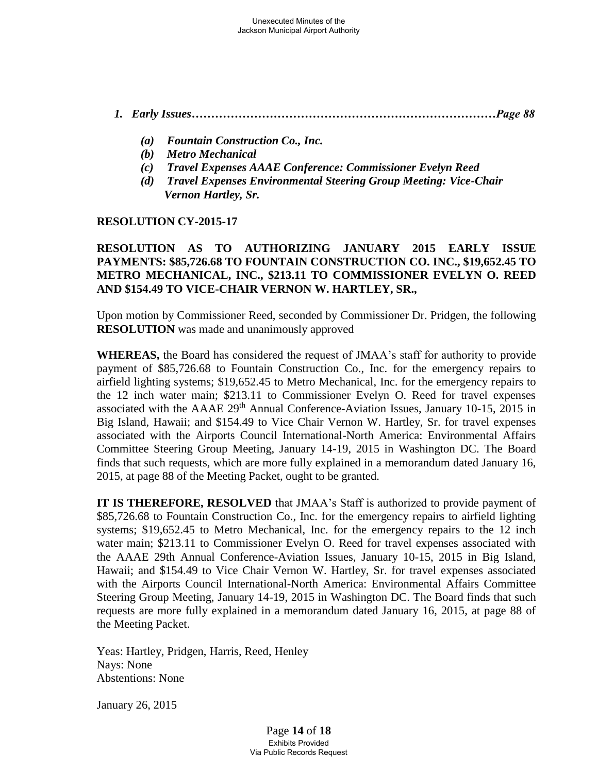# *1. Early Issues……………………………………………………………………Page 88*

- *(a) Fountain Construction Co., Inc.*
- *(b) Metro Mechanical*
- *(c) Travel Expenses AAAE Conference: Commissioner Evelyn Reed*
- *(d) Travel Expenses Environmental Steering Group Meeting: Vice-Chair Vernon Hartley, Sr.*

# **RESOLUTION CY-2015-17**

# **RESOLUTION AS TO AUTHORIZING JANUARY 2015 EARLY ISSUE PAYMENTS: \$85,726.68 TO FOUNTAIN CONSTRUCTION CO. INC., \$19,652.45 TO METRO MECHANICAL, INC., \$213.11 TO COMMISSIONER EVELYN O. REED AND \$154.49 TO VICE-CHAIR VERNON W. HARTLEY, SR.,**

Upon motion by Commissioner Reed, seconded by Commissioner Dr. Pridgen, the following **RESOLUTION** was made and unanimously approved

**WHEREAS,** the Board has considered the request of JMAA's staff for authority to provide payment of \$85,726.68 to Fountain Construction Co., Inc. for the emergency repairs to airfield lighting systems; \$19,652.45 to Metro Mechanical, Inc. for the emergency repairs to the 12 inch water main; \$213.11 to Commissioner Evelyn O. Reed for travel expenses associated with the AAAE 29<sup>th</sup> Annual Conference-Aviation Issues, January 10-15, 2015 in Big Island, Hawaii; and \$154.49 to Vice Chair Vernon W. Hartley, Sr. for travel expenses associated with the Airports Council International-North America: Environmental Affairs Committee Steering Group Meeting, January 14-19, 2015 in Washington DC. The Board finds that such requests, which are more fully explained in a memorandum dated January 16, 2015, at page 88 of the Meeting Packet, ought to be granted.

**IT IS THEREFORE, RESOLVED** that JMAA's Staff is authorized to provide payment of \$85,726.68 to Fountain Construction Co., Inc. for the emergency repairs to airfield lighting systems; \$19,652.45 to Metro Mechanical, Inc. for the emergency repairs to the 12 inch water main; \$213.11 to Commissioner Evelyn O. Reed for travel expenses associated with the AAAE 29th Annual Conference-Aviation Issues, January 10-15, 2015 in Big Island, Hawaii; and \$154.49 to Vice Chair Vernon W. Hartley, Sr. for travel expenses associated with the Airports Council International-North America: Environmental Affairs Committee Steering Group Meeting, January 14-19, 2015 in Washington DC. The Board finds that such requests are more fully explained in a memorandum dated January 16, 2015, at page 88 of the Meeting Packet.

Yeas: Hartley, Pridgen, Harris, Reed, Henley Nays: None Abstentions: None

January 26, 2015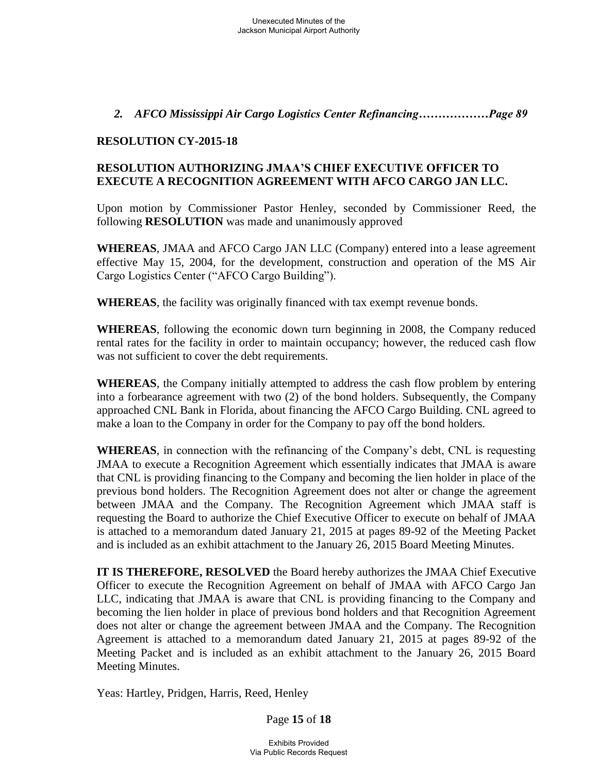# *2. AFCO Mississippi Air Cargo Logistics Center Refinancing………………Page 89*

### **RESOLUTION CY-2015-18**

# **RESOLUTION AUTHORIZING JMAA'S CHIEF EXECUTIVE OFFICER TO EXECUTE A RECOGNITION AGREEMENT WITH AFCO CARGO JAN LLC.**

Upon motion by Commissioner Pastor Henley, seconded by Commissioner Reed, the following **RESOLUTION** was made and unanimously approved

**WHEREAS**, JMAA and AFCO Cargo JAN LLC (Company) entered into a lease agreement effective May 15, 2004, for the development, construction and operation of the MS Air Cargo Logistics Center ("AFCO Cargo Building").

**WHEREAS**, the facility was originally financed with tax exempt revenue bonds.

**WHEREAS**, following the economic down turn beginning in 2008, the Company reduced rental rates for the facility in order to maintain occupancy; however, the reduced cash flow was not sufficient to cover the debt requirements.

**WHEREAS**, the Company initially attempted to address the cash flow problem by entering into a forbearance agreement with two (2) of the bond holders. Subsequently, the Company approached CNL Bank in Florida, about financing the AFCO Cargo Building. CNL agreed to make a loan to the Company in order for the Company to pay off the bond holders.

**WHEREAS**, in connection with the refinancing of the Company's debt, CNL is requesting JMAA to execute a Recognition Agreement which essentially indicates that JMAA is aware that CNL is providing financing to the Company and becoming the lien holder in place of the previous bond holders. The Recognition Agreement does not alter or change the agreement between JMAA and the Company. The Recognition Agreement which JMAA staff is requesting the Board to authorize the Chief Executive Officer to execute on behalf of JMAA is attached to a memorandum dated January 21, 2015 at pages 89-92 of the Meeting Packet and is included as an exhibit attachment to the January 26, 2015 Board Meeting Minutes.

**IT IS THEREFORE, RESOLVED** the Board hereby authorizes the JMAA Chief Executive Officer to execute the Recognition Agreement on behalf of JMAA with AFCO Cargo Jan LLC, indicating that JMAA is aware that CNL is providing financing to the Company and becoming the lien holder in place of previous bond holders and that Recognition Agreement does not alter or change the agreement between JMAA and the Company. The Recognition Agreement is attached to a memorandum dated January 21, 2015 at pages 89-92 of the Meeting Packet and is included as an exhibit attachment to the January 26, 2015 Board Meeting Minutes.

Yeas: Hartley, Pridgen, Harris, Reed, Henley

Page **15** of **18**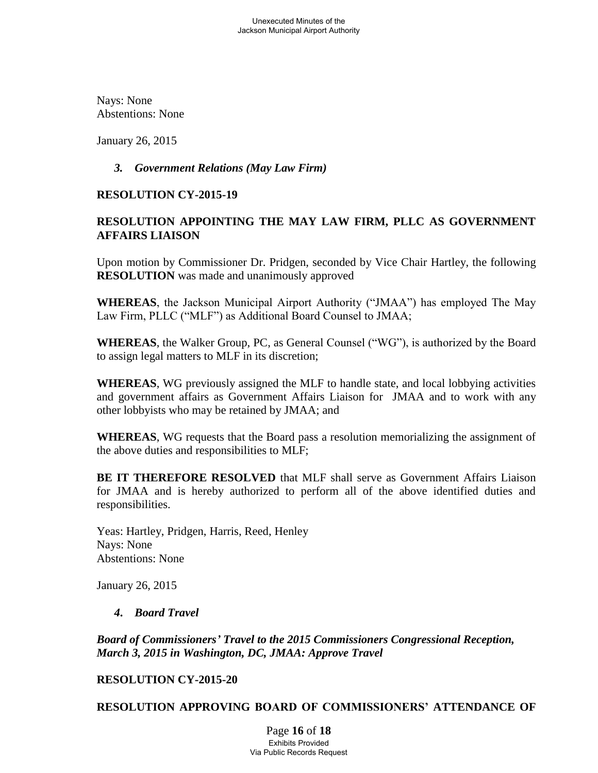Nays: None Abstentions: None

January 26, 2015

# *3. Government Relations (May Law Firm)*

# **RESOLUTION CY-2015-19**

# **RESOLUTION APPOINTING THE MAY LAW FIRM, PLLC AS GOVERNMENT AFFAIRS LIAISON**

Upon motion by Commissioner Dr. Pridgen, seconded by Vice Chair Hartley, the following **RESOLUTION** was made and unanimously approved

**WHEREAS**, the Jackson Municipal Airport Authority ("JMAA") has employed The May Law Firm, PLLC ("MLF") as Additional Board Counsel to JMAA;

**WHEREAS**, the Walker Group, PC, as General Counsel ("WG"), is authorized by the Board to assign legal matters to MLF in its discretion;

**WHEREAS**, WG previously assigned the MLF to handle state, and local lobbying activities and government affairs as Government Affairs Liaison for JMAA and to work with any other lobbyists who may be retained by JMAA; and

**WHEREAS**, WG requests that the Board pass a resolution memorializing the assignment of the above duties and responsibilities to MLF;

**BE IT THEREFORE RESOLVED** that MLF shall serve as Government Affairs Liaison for JMAA and is hereby authorized to perform all of the above identified duties and responsibilities.

Yeas: Hartley, Pridgen, Harris, Reed, Henley Nays: None Abstentions: None

January 26, 2015

# *4***.** *Board Travel*

*Board of Commissioners' Travel to the 2015 Commissioners Congressional Reception, March 3, 2015 in Washington, DC, JMAA: Approve Travel* 

# **RESOLUTION CY-2015-20**

**RESOLUTION APPROVING BOARD OF COMMISSIONERS' ATTENDANCE OF**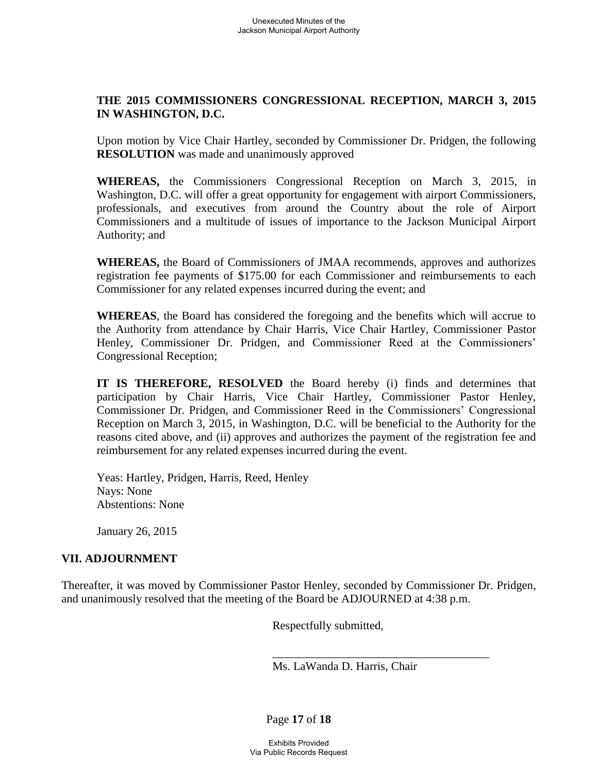# **THE 2015 COMMISSIONERS CONGRESSIONAL RECEPTION, MARCH 3, 2015 IN WASHINGTON, D.C.**

Upon motion by Vice Chair Hartley, seconded by Commissioner Dr. Pridgen, the following **RESOLUTION** was made and unanimously approved

**WHEREAS,** the Commissioners Congressional Reception on March 3, 2015, in Washington, D.C. will offer a great opportunity for engagement with airport Commissioners, professionals, and executives from around the Country about the role of Airport Commissioners and a multitude of issues of importance to the Jackson Municipal Airport Authority; and

**WHEREAS,** the Board of Commissioners of JMAA recommends, approves and authorizes registration fee payments of \$175.00 for each Commissioner and reimbursements to each Commissioner for any related expenses incurred during the event; and

**WHEREAS**, the Board has considered the foregoing and the benefits which will accrue to the Authority from attendance by Chair Harris, Vice Chair Hartley, Commissioner Pastor Henley, Commissioner Dr. Pridgen, and Commissioner Reed at the Commissioners' Congressional Reception;

**IT IS THEREFORE, RESOLVED** the Board hereby (i) finds and determines that participation by Chair Harris, Vice Chair Hartley, Commissioner Pastor Henley, Commissioner Dr. Pridgen, and Commissioner Reed in the Commissioners' Congressional Reception on March 3, 2015, in Washington, D.C. will be beneficial to the Authority for the reasons cited above, and (ii) approves and authorizes the payment of the registration fee and reimbursement for any related expenses incurred during the event.

Yeas: Hartley, Pridgen, Harris, Reed, Henley Nays: None Abstentions: None

January 26, 2015

# **VII. ADJOURNMENT**

Thereafter, it was moved by Commissioner Pastor Henley, seconded by Commissioner Dr. Pridgen, and unanimously resolved that the meeting of the Board be ADJOURNED at 4:38 p.m.

 $\overline{\phantom{a}}$  , and the contract of the contract of the contract of the contract of the contract of the contract of the contract of the contract of the contract of the contract of the contract of the contract of the contrac

Respectfully submitted,

Ms. LaWanda D. Harris, Chair

Page **17** of **18**